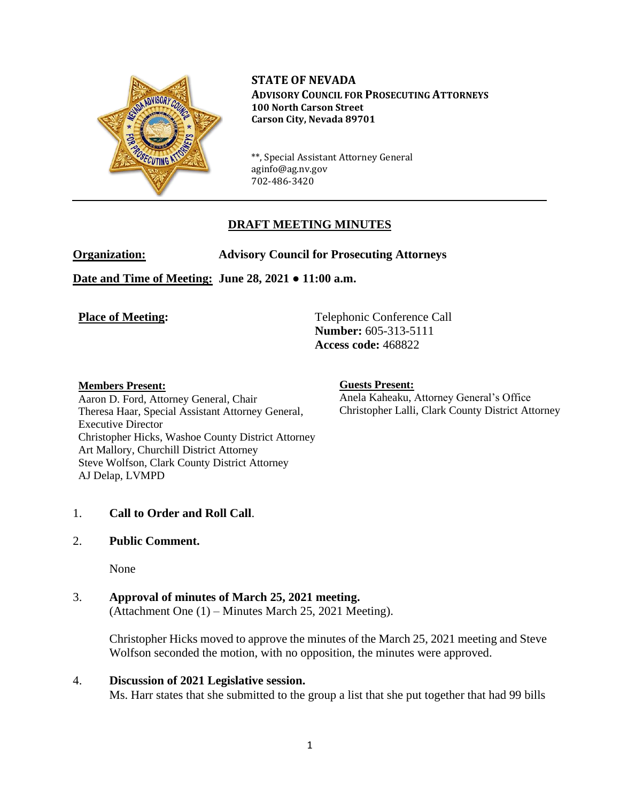

**STATE OF NEVADA ADVISORY COUNCIL FOR PROSECUTING ATTORNEYS 100 North Carson Street Carson City, Nevada 89701**

\*\*, Special Assistant Attorney General aginfo@ag.nv.gov 702-486-3420

# **DRAFT MEETING MINUTES**

**Organization: Advisory Council for Prosecuting Attorneys**

**Date and Time of Meeting: June 28, 2021 ● 11:00 a.m.**

**Place of Meeting:** Telephonic Conference Call **Number:** 605-313-5111 **Access code:** 468822

#### **Members Present:**

Aaron D. Ford, Attorney General, Chair Theresa Haar, Special Assistant Attorney General, Executive Director Christopher Hicks, Washoe County District Attorney Art Mallory, Churchill District Attorney Steve Wolfson, Clark County District Attorney AJ Delap, LVMPD

#### **Guests Present:**

Anela Kaheaku, Attorney General's Office Christopher Lalli, Clark County District Attorney

## 1. **Call to Order and Roll Call**.

## 2. **Public Comment.**

None

# 3. **Approval of minutes of March 25, 2021 meeting.**

(Attachment One (1) – Minutes March 25, 2021 Meeting).

Christopher Hicks moved to approve the minutes of the March 25, 2021 meeting and Steve Wolfson seconded the motion, with no opposition, the minutes were approved.

#### 4. **Discussion of 2021 Legislative session.**

Ms. Harr states that she submitted to the group a list that she put together that had 99 bills